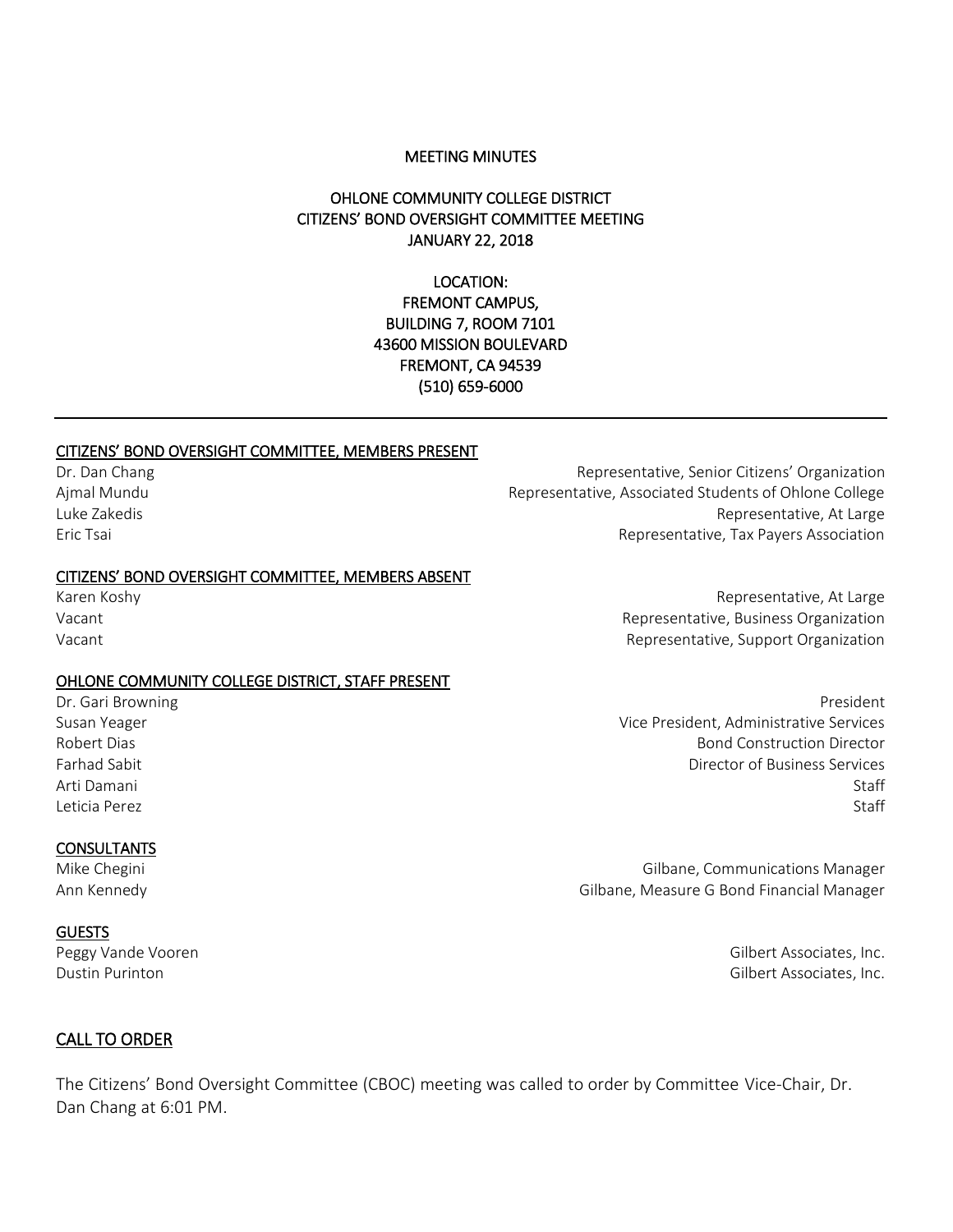#### MEETING MINUTES

## OHLONE COMMUNITY COLLEGE DISTRICT CITIZENS' BOND OVERSIGHT COMMITTEE MEETING JANUARY 22, 2018

#### LOCATION: FREMONT CAMPUS, BUILDING 7, ROOM 7101 43600 MISSION BOULEVARD FREMONT, CA 94539 (510) 659-6000

#### CITIZENS' BOND OVERSIGHT COMMITTEE, MEMBERS PRESENT

#### CITIZENS' BOND OVERSIGHT COMMITTEE, MEMBERS ABSENT

Karen Koshy Vacant

#### OHLONE COMMUNITY COLLEGE DISTRICT, STAFF PRESENT

#### **CONSULTANTS**

#### **GUESTS**

Dr. Dan Chang Representative, Senior Citizens' Organization Ajmal Mundu **Representative, Associated Students of Ohlone College** Luke Zakedis Representative, At Large Eric Tsai Representative, Tax Payers Association

Representative, At Large Representative, Business Organization Vacant Representative, Support Organization

Dr. Gari Browning President Communication of the Communication of the President President President Susan Yeager Vice President, Administrative Services Robert Dias Bond Construction Director Farhad Sabit Director of Business Services Arti Damani Staff Staff Staff Staff Staff Staff Staff Staff Staff Staff Staff Staff Staff Staff Staff Staff St Leticia Perez Staff **Staff** Staff Staff Staff Staff Staff Staff Staff Staff Staff Staff Staff Staff Staff Staff Staff Staff Staff Staff Staff Staff Staff Staff Staff Staff Staff Staff Staff Staff Staff Staff Staff Staff St

Mike Chegini Gilbane, Communications Manager Ann Kennedy Gilbane, Measure G Bond Financial Manager

Peggy Vande Vooren Gilbert Associates, Inc. Dustin Purinton Gilbert Associates, Inc.

#### CALL TO ORDER

The Citizens' Bond Oversight Committee (CBOC) meeting was called to order by Committee Vice-Chair, Dr. Dan Chang at 6:01 PM.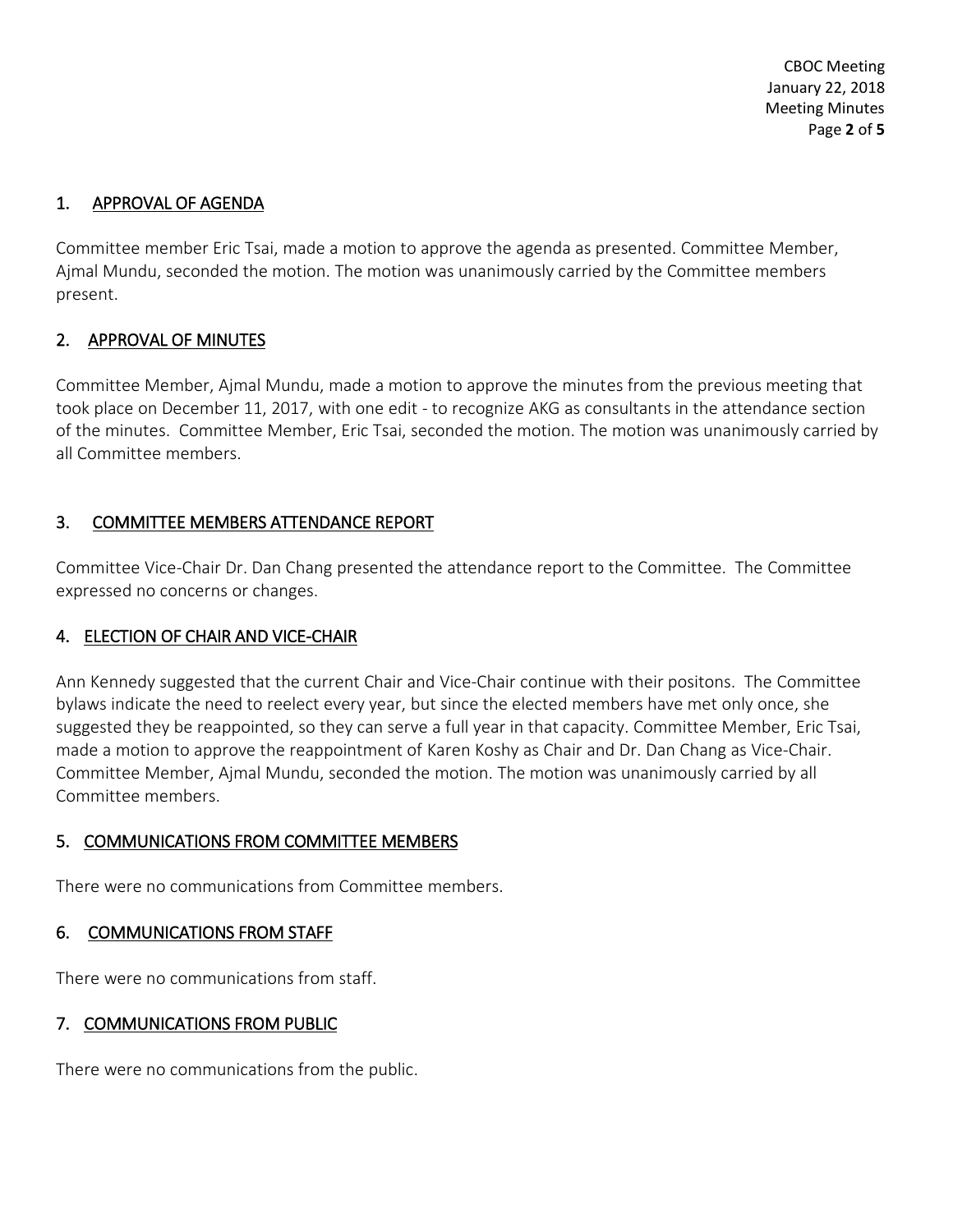CBOC Meeting January 22, 2018 Meeting Minutes Page **2** of **5**

## 1. APPROVAL OF AGENDA

Committee member Eric Tsai, made a motion to approve the agenda as presented. Committee Member, Ajmal Mundu, seconded the motion. The motion was unanimously carried by the Committee members present.

# 2. APPROVAL OF MINUTES

Committee Member, Ajmal Mundu, made a motion to approve the minutes from the previous meeting that took place on December 11, 2017, with one edit - to recognize AKG as consultants in the attendance section of the minutes. Committee Member, Eric Tsai, seconded the motion. The motion was unanimously carried by all Committee members.

# 3. COMMITTEE MEMBERS ATTENDANCE REPORT

Committee Vice-Chair Dr. Dan Chang presented the attendance report to the Committee. The Committee expressed no concerns or changes.

## 4. ELECTION OF CHAIR AND VICE-CHAIR

Ann Kennedy suggested that the current Chair and Vice-Chair continue with their positons. The Committee bylaws indicate the need to reelect every year, but since the elected members have met only once, she suggested they be reappointed, so they can serve a full year in that capacity. Committee Member, Eric Tsai, made a motion to approve the reappointment of Karen Koshy as Chair and Dr. Dan Chang as Vice-Chair. Committee Member, Ajmal Mundu, seconded the motion. The motion was unanimously carried by all Committee members.

## 5. COMMUNICATIONS FROM COMMITTEE MEMBERS

There were no communications from Committee members.

## 6. COMMUNICATIONS FROM STAFF

There were no communications from staff.

## 7. COMMUNICATIONS FROM PUBLIC

There were no communications from the public.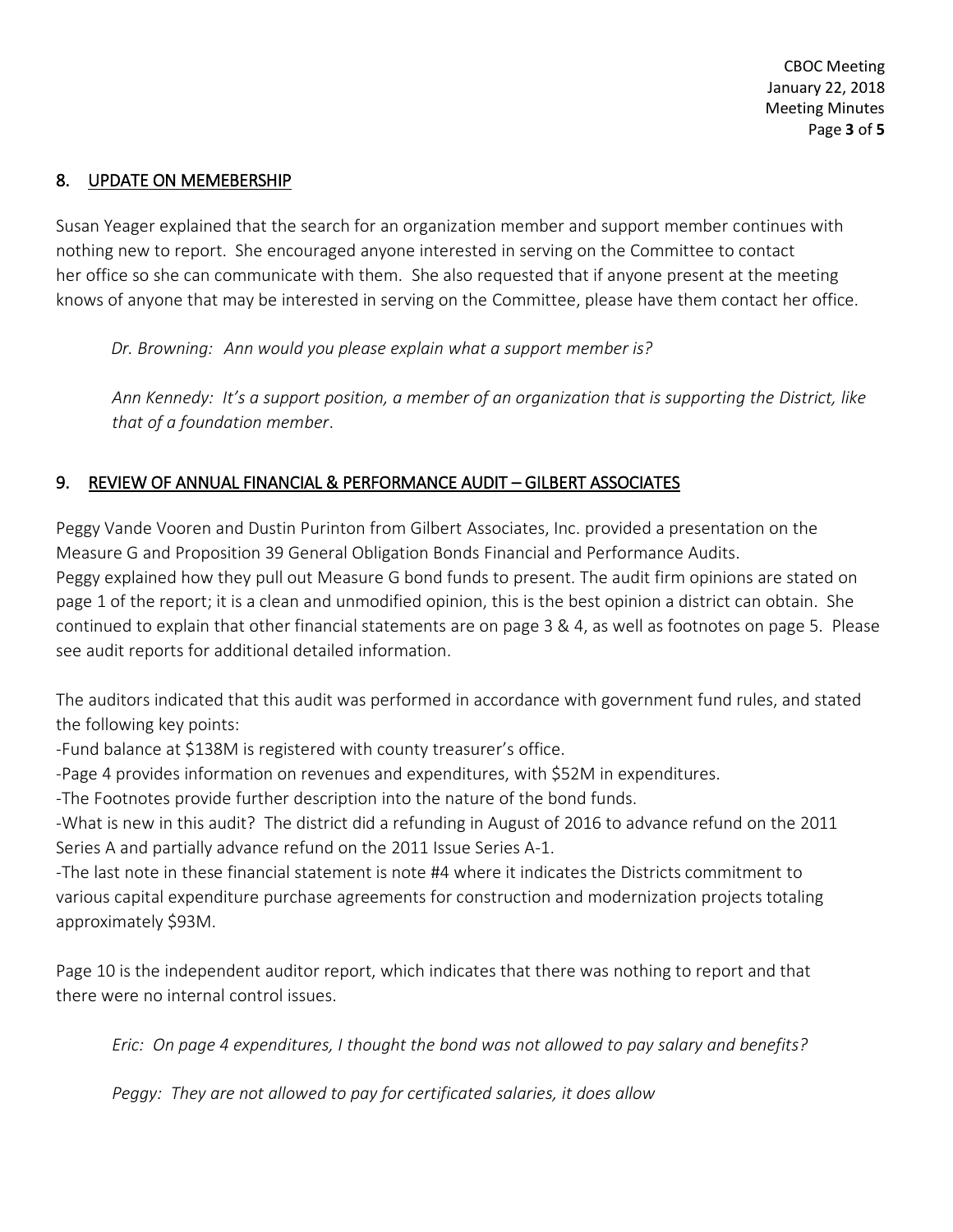#### 8. UPDATE ON MEMEBERSHIP

Susan Yeager explained that the search for an organization member and support member continues with nothing new to report. She encouraged anyone interested in serving on the Committee to contact her office so she can communicate with them. She also requested that if anyone present at the meeting knows of anyone that may be interested in serving on the Committee, please have them contact her office.

 *Dr. Browning: Ann would you please explain what a support member is?*

*Ann Kennedy: It's a support position, a member of an organization that is supporting the District, like that of a foundation member*.

## 9. REVIEW OF ANNUAL FINANCIAL & PERFORMANCE AUDIT – GILBERT ASSOCIATES

Peggy Vande Vooren and Dustin Purinton from Gilbert Associates, Inc. provided a presentation on the Measure G and Proposition 39 General Obligation Bonds Financial and Performance Audits. Peggy explained how they pull out Measure G bond funds to present. The audit firm opinions are stated on page 1 of the report; it is a clean and unmodified opinion, this is the best opinion a district can obtain. She continued to explain that other financial statements are on page 3 & 4, as well as footnotes on page 5. Please see audit reports for additional detailed information.

The auditors indicated that this audit was performed in accordance with government fund rules, and stated the following key points:

-Fund balance at \$138M is registered with county treasurer's office.

-Page 4 provides information on revenues and expenditures, with \$52M in expenditures.

-The Footnotes provide further description into the nature of the bond funds.

-What is new in this audit? The district did a refunding in August of 2016 to advance refund on the 2011 Series A and partially advance refund on the 2011 Issue Series A-1.

-The last note in these financial statement is note #4 where it indicates the Districts commitment to various capital expenditure purchase agreements for construction and modernization projects totaling approximately \$93M.

Page 10 is the independent auditor report, which indicates that there was nothing to report and that there were no internal control issues.

*Eric: On page 4 expenditures, I thought the bond was not allowed to pay salary and benefits?*

*Peggy: They are not allowed to pay for certificated salaries, it does allow*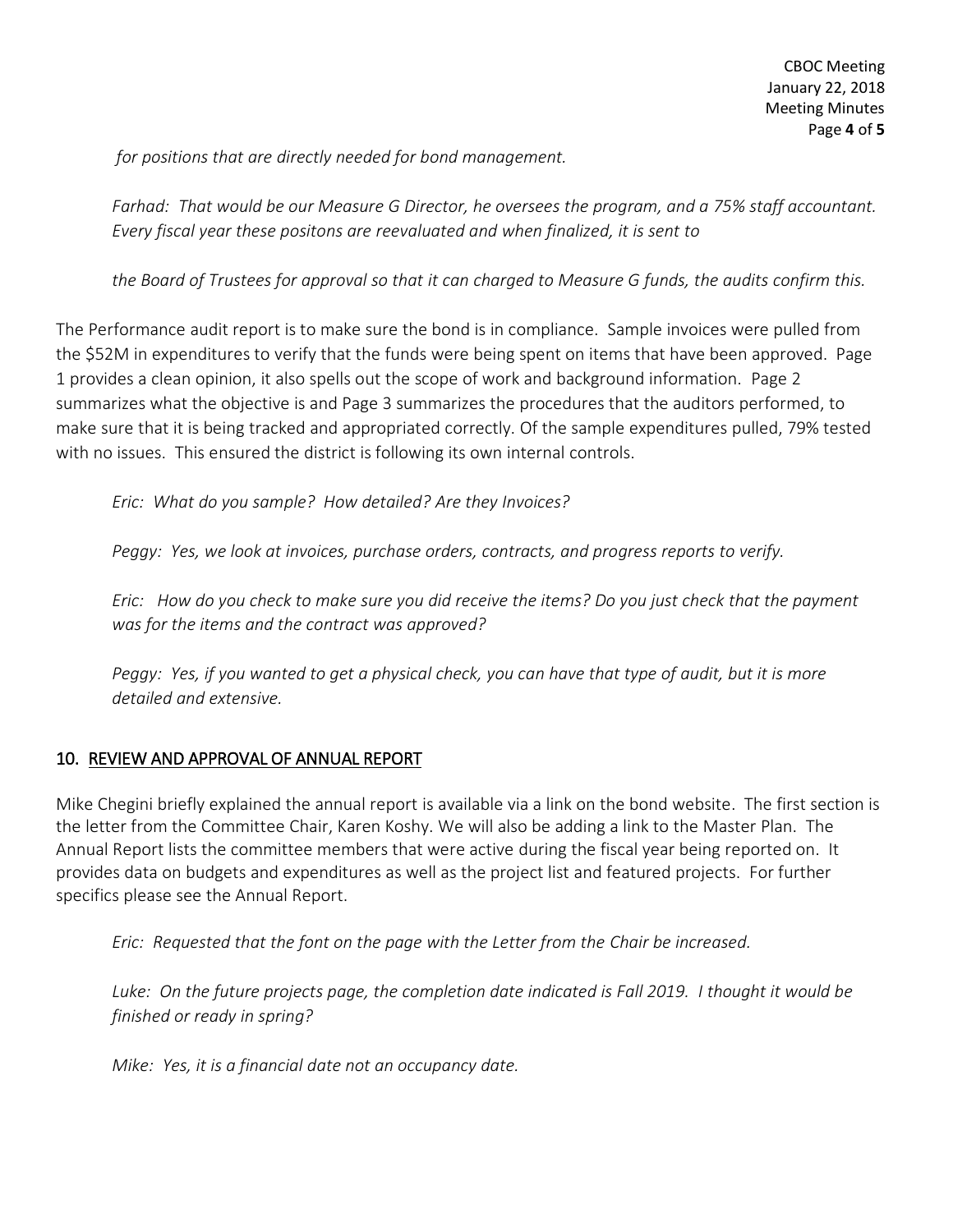*for positions that are directly needed for bond management.*

*Farhad: That would be our Measure G Director, he oversees the program, and a 75% staff accountant. Every fiscal year these positons are reevaluated and when finalized, it is sent to* 

*the Board of Trustees for approval so that it can charged to Measure G funds, the audits confirm this.*

The Performance audit report is to make sure the bond is in compliance. Sample invoices were pulled from the \$52M in expenditures to verify that the funds were being spent on items that have been approved. Page 1 provides a clean opinion, it also spells out the scope of work and background information. Page 2 summarizes what the objective is and Page 3 summarizes the procedures that the auditors performed, to make sure that it is being tracked and appropriated correctly. Of the sample expenditures pulled, 79% tested with no issues. This ensured the district is following its own internal controls.

*Eric: What do you sample? How detailed? Are they Invoices?*

*Peggy: Yes, we look at invoices, purchase orders, contracts, and progress reports to verify.*

*Eric: How do you check to make sure you did receive the items? Do you just check that the payment was for the items and the contract was approved?*

*Peggy: Yes, if you wanted to get a physical check, you can have that type of audit, but it is more detailed and extensive.*

## 10. REVIEW AND APPROVAL OF ANNUAL REPORT

Mike Chegini briefly explained the annual report is available via a link on the bond website. The first section is the letter from the Committee Chair, Karen Koshy. We will also be adding a link to the Master Plan. The Annual Report lists the committee members that were active during the fiscal year being reported on. It provides data on budgets and expenditures as well as the project list and featured projects. For further specifics please see the Annual Report.

*Eric: Requested that the font on the page with the Letter from the Chair be increased.*

*Luke: On the future projects page, the completion date indicated is Fall 2019. I thought it would be finished or ready in spring?*

*Mike: Yes, it is a financial date not an occupancy date.*